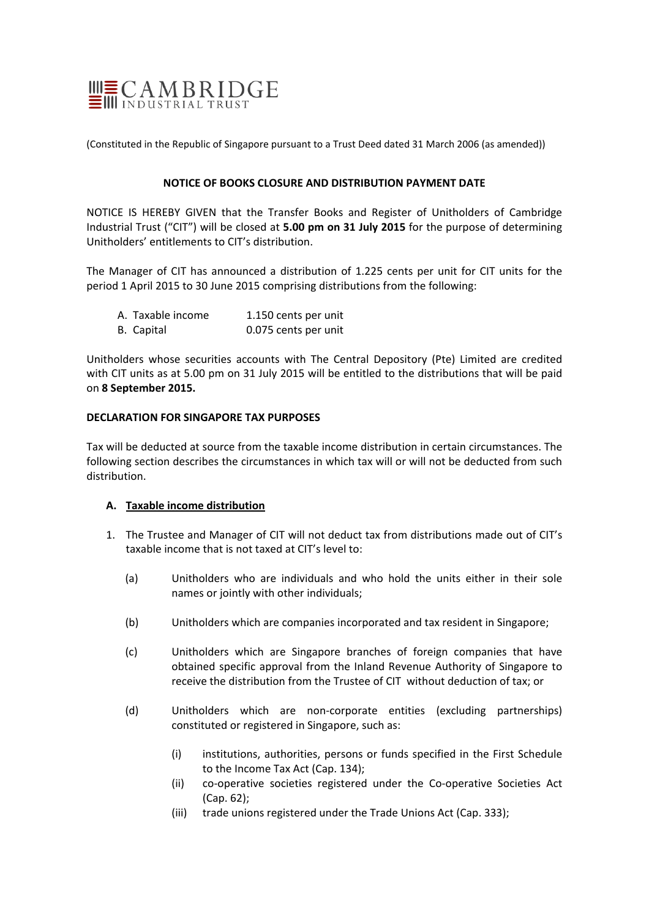

(Constituted in the Republic of Singapore pursuant to a Trust Deed dated 31 March 2006 (as amended))

### **NOTICE OF BOOKS CLOSURE AND DISTRIBUTION PAYMENT DATE**

NOTICE IS HEREBY GIVEN that the Transfer Books and Register of Unitholders of Cambridge Industrial Trust ("CIT") will be closed at **5.00 pm on 31 July 2015** for the purpose of determining Unitholders' entitlements to CIT's distribution.

The Manager of CIT has announced a distribution of 1.225 cents per unit for CIT units for the period 1 April 2015 to 30 June 2015 comprising distributions from the following:

| A. Taxable income | 1.150 cents per unit |
|-------------------|----------------------|
| B. Capital        | 0.075 cents per unit |

Unitholders whose securities accounts with The Central Depository (Pte) Limited are credited with CIT units as at 5.00 pm on 31 July 2015 will be entitled to the distributions that will be paid on **8 September 2015.**

### **DECLARATION FOR SINGAPORE TAX PURPOSES**

Tax will be deducted at source from the taxable income distribution in certain circumstances. The following section describes the circumstances in which tax will or will not be deducted from such distribution.

# **A. Taxable income distribution**

- 1. The Trustee and Manager of CIT will not deduct tax from distributions made out of CIT's taxable income that is not taxed at CIT's level to:
	- (a) Unitholders who are individuals and who hold the units either in their sole names or jointly with other individuals;
	- (b) Unitholders which are companies incorporated and tax resident in Singapore;
	- (c) Unitholders which are Singapore branches of foreign companies that have obtained specific approval from the Inland Revenue Authority of Singapore to receive the distribution from the Trustee of CIT without deduction of tax; or
	- (d) Unitholders which are non‐corporate entities (excluding partnerships) constituted or registered in Singapore, such as:
		- (i) institutions, authorities, persons or funds specified in the First Schedule to the Income Tax Act (Cap. 134);
		- (ii) co‐operative societies registered under the Co‐operative Societies Act (Cap. 62);
		- (iii) trade unions registered under the Trade Unions Act (Cap. 333);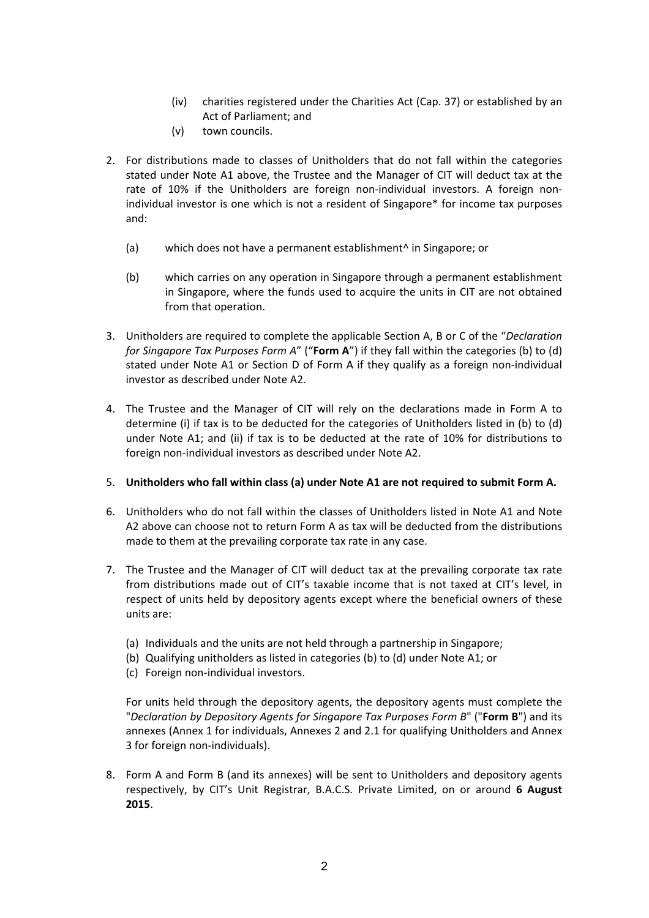- (iv) charities registered under the Charities Act (Cap. 37) or established by an Act of Parliament; and
- (v) town councils.
- 2. For distributions made to classes of Unitholders that do not fall within the categories stated under Note A1 above, the Trustee and the Manager of CIT will deduct tax at the rate of 10% if the Unitholders are foreign non-individual investors. A foreign nonindividual investor is one which is not a resident of Singapore\* for income tax purposes and:
	- (a) which does not have a permanent establishment^ in Singapore; or
	- (b) which carries on any operation in Singapore through a permanent establishment in Singapore, where the funds used to acquire the units in CIT are not obtained from that operation.
- 3. Unitholders are required to complete the applicable Section A, B or C of the "*Declaration for Singapore Tax Purposes Form A*" ("**Form A**") if they fall within the categories (b) to (d) stated under Note A1 or Section D of Form A if they qualify as a foreign non-individual investor as described under Note A2.
- 4. The Trustee and the Manager of CIT will rely on the declarations made in Form A to determine (i) if tax is to be deducted for the categories of Unitholders listed in (b) to (d) under Note A1; and (ii) if tax is to be deducted at the rate of 10% for distributions to foreign non‐individual investors as described under Note A2.
- 5. **Unitholders who fall within class (a) under Note A1 are not required to submit Form A.**
- 6. Unitholders who do not fall within the classes of Unitholders listed in Note A1 and Note A2 above can choose not to return Form A as tax will be deducted from the distributions made to them at the prevailing corporate tax rate in any case.
- 7. The Trustee and the Manager of CIT will deduct tax at the prevailing corporate tax rate from distributions made out of CIT's taxable income that is not taxed at CIT's level, in respect of units held by depository agents except where the beneficial owners of these units are:
	- (a) Individuals and the units are not held through a partnership in Singapore;
	- (b) Qualifying unitholders as listed in categories (b) to (d) under Note A1; or
	- (c) Foreign non‐individual investors.

For units held through the depository agents, the depository agents must complete the "*Declaration by Depository Agents for Singapore Tax Purposes Form B*" ("**Form B**") and its annexes (Annex 1 for individuals, Annexes 2 and 2.1 for qualifying Unitholders and Annex 3 for foreign non‐individuals).

8. Form A and Form B (and its annexes) will be sent to Unitholders and depository agents respectively, by CIT's Unit Registrar, B.A.C.S. Private Limited, on or around **6 August 2015**.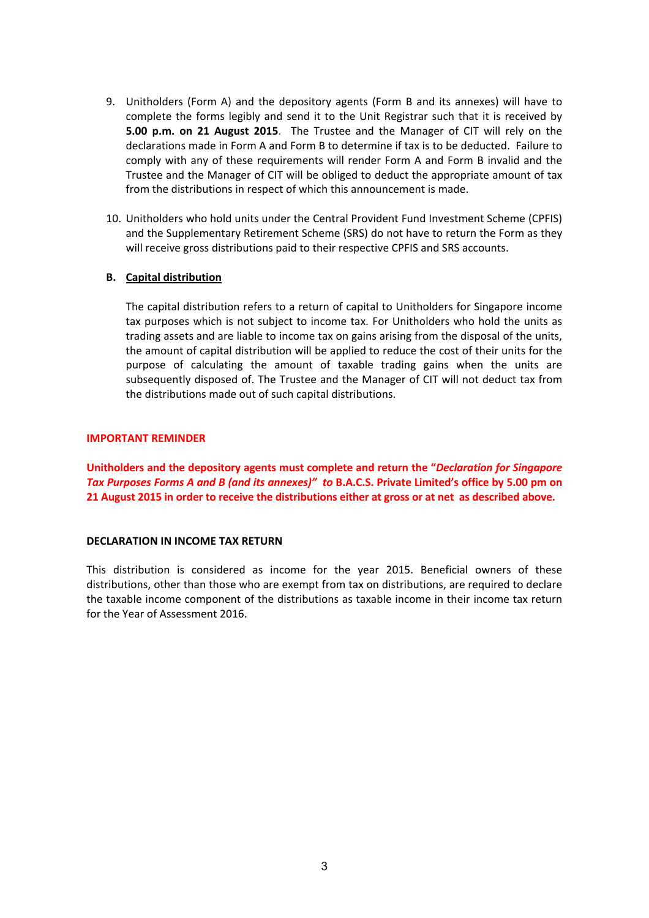- 9. Unitholders (Form A) and the depository agents (Form B and its annexes) will have to complete the forms legibly and send it to the Unit Registrar such that it is received by **5.00 p.m. on 21 August 2015**. The Trustee and the Manager of CIT will rely on the declarations made in Form A and Form B to determine if tax is to be deducted. Failure to comply with any of these requirements will render Form A and Form B invalid and the Trustee and the Manager of CIT will be obliged to deduct the appropriate amount of tax from the distributions in respect of which this announcement is made.
- 10. Unitholders who hold units under the Central Provident Fund Investment Scheme (CPFIS) and the Supplementary Retirement Scheme (SRS) do not have to return the Form as they will receive gross distributions paid to their respective CPFIS and SRS accounts.

# **B. Capital distribution**

The capital distribution refers to a return of capital to Unitholders for Singapore income tax purposes which is not subject to income tax. For Unitholders who hold the units as trading assets and are liable to income tax on gains arising from the disposal of the units, the amount of capital distribution will be applied to reduce the cost of their units for the purpose of calculating the amount of taxable trading gains when the units are subsequently disposed of. The Trustee and the Manager of CIT will not deduct tax from the distributions made out of such capital distributions.

#### **IMPORTANT REMINDER**

**Unitholders and the depository agents must complete and return the "***Declaration for Singapore* Tax Purposes Forms A and B (and its annexes)" to B.A.C.S. Private Limited's office by 5.00 pm on 21 August 2015 in order to receive the distributions either at gross or at net as described above.

#### **DECLARATION IN INCOME TAX RETURN**

This distribution is considered as income for the year 2015. Beneficial owners of these distributions, other than those who are exempt from tax on distributions, are required to declare the taxable income component of the distributions as taxable income in their income tax return for the Year of Assessment 2016.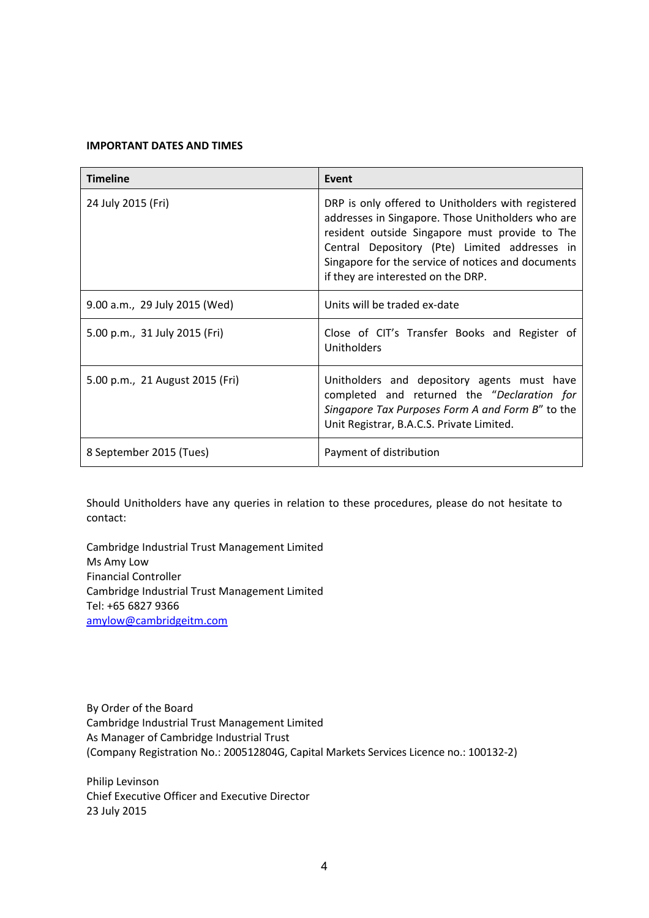#### **IMPORTANT DATES AND TIMES**

| <b>Timeline</b>                 | Event                                                                                                                                                                                                                                                                                                  |
|---------------------------------|--------------------------------------------------------------------------------------------------------------------------------------------------------------------------------------------------------------------------------------------------------------------------------------------------------|
| 24 July 2015 (Fri)              | DRP is only offered to Unitholders with registered<br>addresses in Singapore. Those Unitholders who are<br>resident outside Singapore must provide to The<br>Central Depository (Pte) Limited addresses in<br>Singapore for the service of notices and documents<br>if they are interested on the DRP. |
| 9.00 a.m., 29 July 2015 (Wed)   | Units will be traded ex-date                                                                                                                                                                                                                                                                           |
| 5.00 p.m., 31 July 2015 (Fri)   | Close of CIT's Transfer Books and Register of<br>Unitholders                                                                                                                                                                                                                                           |
| 5.00 p.m., 21 August 2015 (Fri) | Unitholders and depository agents must have<br>completed and returned the "Declaration for<br>Singapore Tax Purposes Form A and Form B" to the<br>Unit Registrar, B.A.C.S. Private Limited.                                                                                                            |
| 8 September 2015 (Tues)         | Payment of distribution                                                                                                                                                                                                                                                                                |

Should Unitholders have any queries in relation to these procedures, please do not hesitate to contact:

Cambridge Industrial Trust Management Limited Ms Amy Low Financial Controller Cambridge Industrial Trust Management Limited Tel: +65 6827 9366 amylow@cambridgeitm.com

By Order of the Board Cambridge Industrial Trust Management Limited As Manager of Cambridge Industrial Trust (Company Registration No.: 200512804G, Capital Markets Services Licence no.: 100132‐2)

Philip Levinson Chief Executive Officer and Executive Director 23 July 2015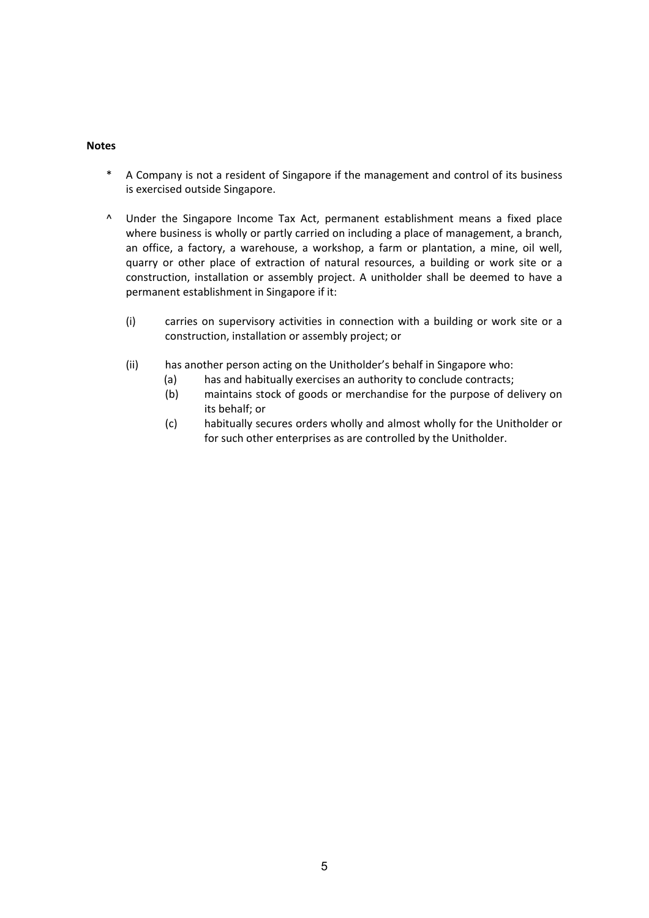#### **Notes**

- \* A Company is not a resident of Singapore if the management and control of its business is exercised outside Singapore.
- ^ Under the Singapore Income Tax Act, permanent establishment means a fixed place where business is wholly or partly carried on including a place of management, a branch, an office, a factory, a warehouse, a workshop, a farm or plantation, a mine, oil well, quarry or other place of extraction of natural resources, a building or work site or a construction, installation or assembly project. A unitholder shall be deemed to have a permanent establishment in Singapore if it:
	- (i) carries on supervisory activities in connection with a building or work site or a construction, installation or assembly project; or
	- (ii) has another person acting on the Unitholder's behalf in Singapore who:
		- (a) has and habitually exercises an authority to conclude contracts;
		- (b) maintains stock of goods or merchandise for the purpose of delivery on its behalf; or
		- (c) habitually secures orders wholly and almost wholly for the Unitholder or for such other enterprises as are controlled by the Unitholder.